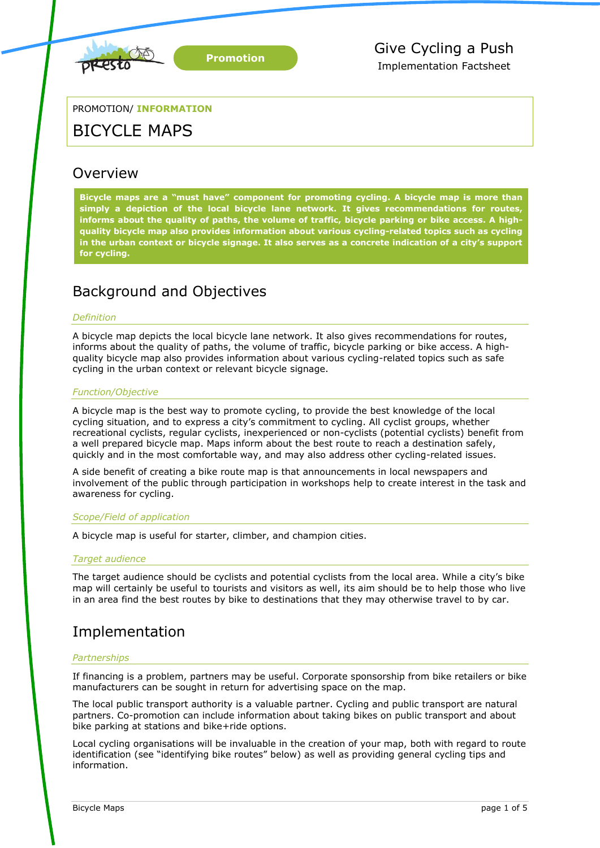

PROMOTION/ **INFORMATION**

# BICYCLE MAPS

# **Overview**

**Bicycle maps are a "must have" component for promoting cycling. A bicycle map is more than simply a depiction of the local bicycle lane network. It gives recommendations for routes, informs about the quality of paths, the volume of traffic, bicycle parking or bike access. A highquality bicycle map also provides information about various cycling-related topics such as cycling in the urban context or bicycle signage. It also serves as a concrete indication of a city's support for cycling.**

# Background and Objectives

# *Definition*

A bicycle map depicts the local bicycle lane network. It also gives recommendations for routes, informs about the quality of paths, the volume of traffic, bicycle parking or bike access. A highquality bicycle map also provides information about various cycling-related topics such as safe cycling in the urban context or relevant bicycle signage.

# *Function/Objective*

A bicycle map is the best way to promote cycling, to provide the best knowledge of the local cycling situation, and to express a city's commitment to cycling. All cyclist groups, whether recreational cyclists, regular cyclists, inexperienced or non-cyclists (potential cyclists) benefit from a well prepared bicycle map. Maps inform about the best route to reach a destination safely, quickly and in the most comfortable way, and may also address other cycling-related issues.

A side benefit of creating a bike route map is that announcements in local newspapers and involvement of the public through participation in workshops help to create interest in the task and awareness for cycling.

# *Scope/Field of application*

A bicycle map is useful for starter, climber, and champion cities.

# *Target audience*

The target audience should be cyclists and potential cyclists from the local area. While a city's bike map will certainly be useful to tourists and visitors as well, its aim should be to help those who live in an area find the best routes by bike to destinations that they may otherwise travel to by car.

# Implementation

# *Partnerships*

If financing is a problem, partners may be useful. Corporate sponsorship from bike retailers or bike manufacturers can be sought in return for advertising space on the map.

The local public transport authority is a valuable partner. Cycling and public transport are natural partners. Co-promotion can include information about taking bikes on public transport and about bike parking at stations and bike+ride options.

Local cycling organisations will be invaluable in the creation of your map, both with regard to route identification (see "identifying bike routes" below) as well as providing general cycling tips and information.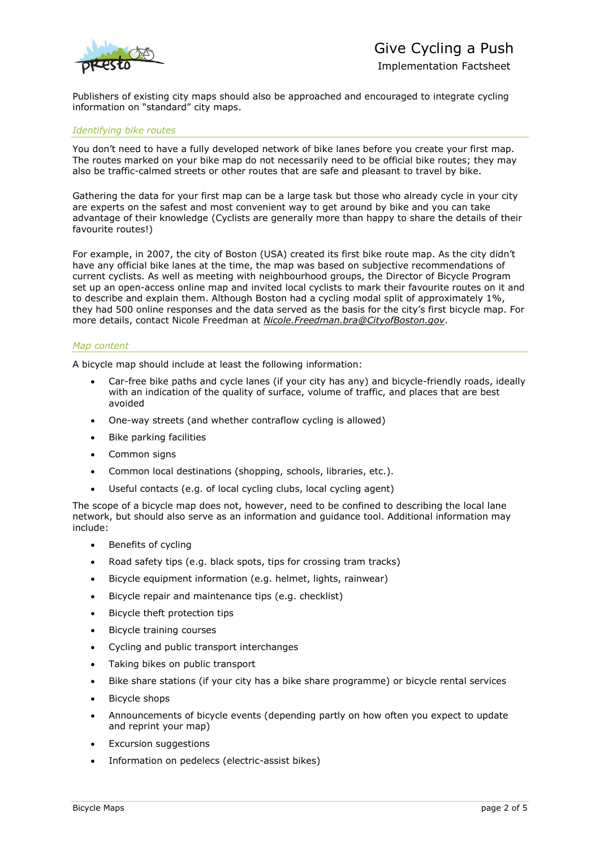

Publishers of existing city maps should also be approached and encouraged to integrate cycling information on "standard" city maps.

#### *Identifying bike routes*

You don't need to have a fully developed network of bike lanes before you create your first map. The routes marked on your bike map do not necessarily need to be official bike routes; they may also be traffic-calmed streets or other routes that are safe and pleasant to travel by bike.

Gathering the data for your first map can be a large task but those who already cycle in your city are experts on the safest and most convenient way to get around by bike and you can take advantage of their knowledge (Cyclists are generally more than happy to share the details of their favourite routes!)

For example, in 2007, the city of Boston (USA) created its first bike route map. As the city didn't have any official bike lanes at the time, the map was based on subjective recommendations of current cyclists. As well as meeting with neighbourhood groups, the Director of Bicycle Program set up an open-access online map and invited local cyclists to mark their favourite routes on it and to describe and explain them. Although Boston had a cycling modal split of approximately 1%, they had 500 online responses and the data served as the basis for the city's first bicycle map. For more details, contact Nicole Freedman at *[Nicole.Freedman.bra@CityofBoston.gov](mailto:Nicole.Freedman.bra@CityofBoston.gov)*.

#### *Map content*

A bicycle map should include at least the following information:

- Car-free bike paths and cycle lanes (if your city has any) and bicycle-friendly roads, ideally with an indication of the quality of surface, volume of traffic, and places that are best avoided
- One-way streets (and whether contraflow cycling is allowed)
- Bike parking facilities
- Common signs
- Common local destinations (shopping, schools, libraries, etc.).
- Useful contacts (e.g. of local cycling clubs, local cycling agent)

The scope of a bicycle map does not, however, need to be confined to describing the local lane network, but should also serve as an information and guidance tool. Additional information may include:

- Benefits of cycling
- Road safety tips (e.g. black spots, tips for crossing tram tracks)
- Bicycle equipment information (e.g. helmet, lights, rainwear)
- Bicycle repair and maintenance tips (e.g. checklist)
- Bicycle theft protection tips
- Bicycle training courses
- Cycling and public transport interchanges
- Taking bikes on public transport
- Bike share stations (if your city has a bike share programme) or bicycle rental services
- Bicycle shops
- Announcements of bicycle events (depending partly on how often you expect to update and reprint your map)
- Excursion suggestions
- Information on pedelecs (electric-assist bikes)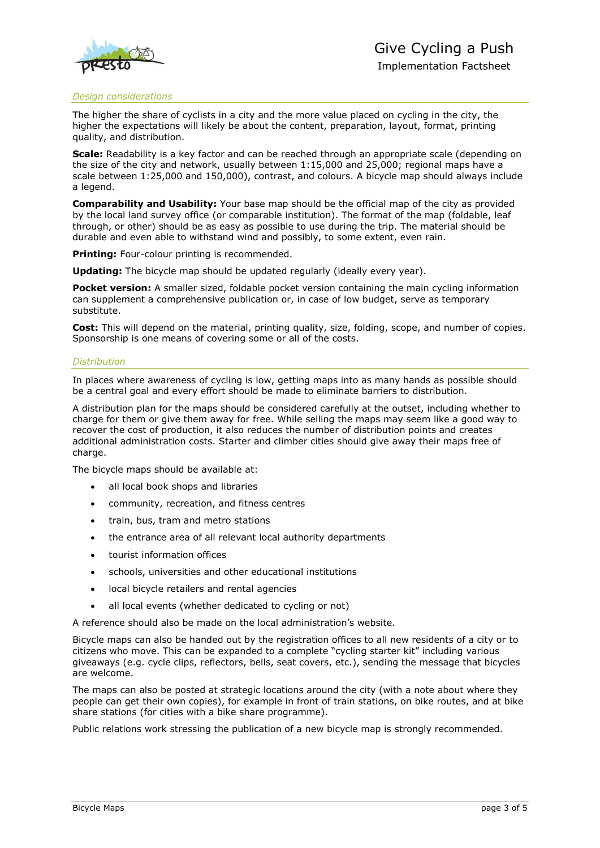

#### *Design considerations*

The higher the share of cyclists in a city and the more value placed on cycling in the city, the higher the expectations will likely be about the content, preparation, layout, format, printing quality, and distribution.

**Scale:** Readability is a key factor and can be reached through an appropriate scale (depending on the size of the city and network, usually between 1:15,000 and 25,000; regional maps have a scale between 1:25,000 and 150,000), contrast, and colours. A bicycle map should always include a legend.

**Comparability and Usability:** Your base map should be the official map of the city as provided by the local land survey office (or comparable institution). The format of the map (foldable, leaf through, or other) should be as easy as possible to use during the trip. The material should be durable and even able to withstand wind and possibly, to some extent, even rain.

**Printing:** Four-colour printing is recommended.

**Updating:** The bicycle map should be updated regularly (ideally every year).

**Pocket version:** A smaller sized, foldable pocket version containing the main cycling information can supplement a comprehensive publication or, in case of low budget, serve as temporary substitute.

**Cost:** This will depend on the material, printing quality, size, folding, scope, and number of copies. Sponsorship is one means of covering some or all of the costs.

#### *Distribution*

In places where awareness of cycling is low, getting maps into as many hands as possible should be a central goal and every effort should be made to eliminate barriers to distribution.

A distribution plan for the maps should be considered carefully at the outset, including whether to charge for them or give them away for free. While selling the maps may seem like a good way to recover the cost of production, it also reduces the number of distribution points and creates additional administration costs. Starter and climber cities should give away their maps free of charge.

The bicycle maps should be available at:

- all local book shops and libraries
- community, recreation, and fitness centres
- train, bus, tram and metro stations
- the entrance area of all relevant local authority departments
- tourist information offices
- schools, universities and other educational institutions
- local bicycle retailers and rental agencies
- all local events (whether dedicated to cycling or not)

A reference should also be made on the local administration's website.

Bicycle maps can also be handed out by the registration offices to all new residents of a city or to citizens who move. This can be expanded to a complete "cycling starter kit" including various giveaways (e.g. cycle clips, reflectors, bells, seat covers, etc.), sending the message that bicycles are welcome.

The maps can also be posted at strategic locations around the city (with a note about where they people can get their own copies), for example in front of train stations, on bike routes, and at bike share stations (for cities with a bike share programme).

Public relations work stressing the publication of a new bicycle map is strongly recommended.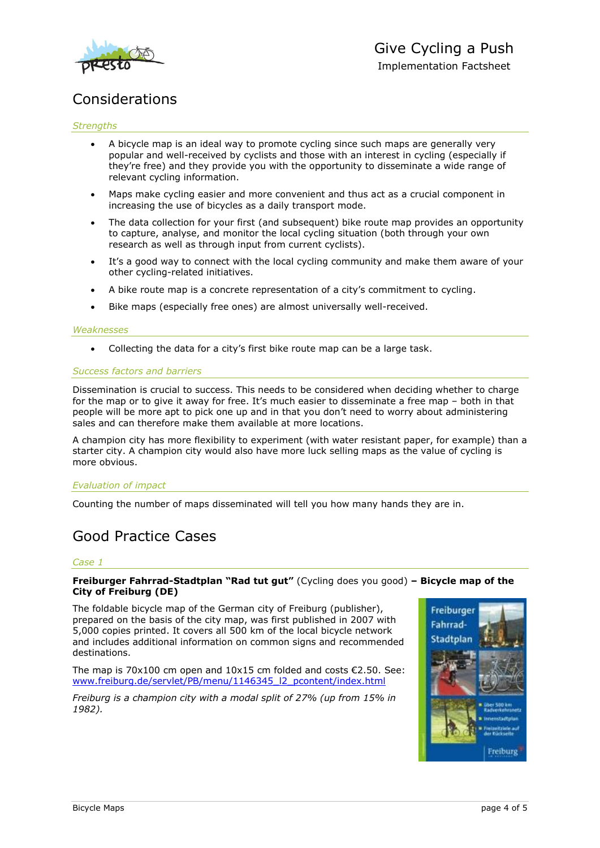

# Considerations

### *Strengths*

- A bicycle map is an ideal way to promote cycling since such maps are generally very popular and well-received by cyclists and those with an interest in cycling (especially if they're free) and they provide you with the opportunity to disseminate a wide range of relevant cycling information.
- Maps make cycling easier and more convenient and thus act as a crucial component in increasing the use of bicycles as a daily transport mode.
- The data collection for your first (and subsequent) bike route map provides an opportunity to capture, analyse, and monitor the local cycling situation (both through your own research as well as through input from current cyclists).
- It's a good way to connect with the local cycling community and make them aware of your other cycling-related initiatives.
- A bike route map is a concrete representation of a city's commitment to cycling.
- Bike maps (especially free ones) are almost universally well-received.

#### *Weaknesses*

Collecting the data for a city's first bike route map can be a large task.

#### *Success factors and barriers*

Dissemination is crucial to success. This needs to be considered when deciding whether to charge for the map or to give it away for free. It's much easier to disseminate a free map - both in that people will be more apt to pick one up and in that you don't need to worry about administering sales and can therefore make them available at more locations.

A champion city has more flexibility to experiment (with water resistant paper, for example) than a starter city. A champion city would also have more luck selling maps as the value of cycling is more obvious.

# *Evaluation of impact*

Counting the number of maps disseminated will tell you how many hands they are in.

# Good Practice Cases

# *Case 1*

**Freiburger Fahrrad-Stadtplan "Rad tut gut"** (Cycling does you good) **– Bicycle map of the City of Freiburg (DE)**

The foldable bicycle map of the German city of Freiburg (publisher), prepared on the basis of the city map, was first published in 2007 with 5,000 copies printed. It covers all 500 km of the local bicycle network and includes additional information on common signs and recommended destinations.

The map is 70x100 cm open and  $10x15$  cm folded and costs  $\epsilon$ 2.50. See: [www.freiburg.de/servlet/PB/menu/1146345\\_l2\\_pcontent/index.html](http://www.freiburg.de/servlet/PB/menu/1146345_l2_pcontent/index.html)

*Freiburg is a champion city with a modal split of 27% (up from 15% in 1982).*